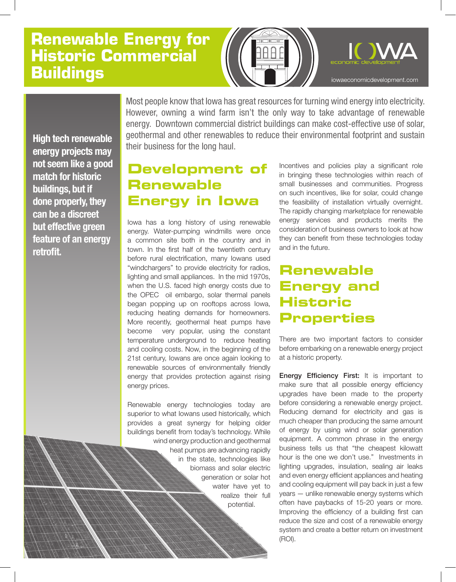# **Renewable Energy for Historic Commercial Buildings**



**High tech renewable energy projects may not seem like a good match for historic buildings, but if done properly, they can be a discreet but effective green feature of an energy retrofit.**

Most people know that Iowa has great resources for turning wind energy into electricity. However, owning a wind farm isn't the only way to take advantage of renewable energy. Downtown commercial district buildings can make cost-effective use of solar, geothermal and other renewables to reduce their environmental footprint and sustain their business for the long haul.

## **Development of Renewable Energy in Iowa**

Iowa has a long history of using renewable energy. Water-pumping windmills were once a common site both in the country and in town. In the first half of the twentieth century before rural electrification, many Iowans used "windchargers" to provide electricity for radios, lighting and small appliances. In the mid 1970s, when the U.S. faced high energy costs due to the OPEC oil embargo, solar thermal panels began popping up on rooftops across Iowa, reducing heating demands for homeowners. More recently, geothermal heat pumps have become very popular, using the constant temperature underground to reduce heating and cooling costs. Now, in the beginning of the 21st century, Iowans are once again looking to renewable sources of environmentally friendly energy that provides protection against rising energy prices.

Renewable energy technologies today are superior to what Iowans used historically, which provides a great synergy for helping older buildings benefit from today's technology. While wind energy production and geothermal

heat pumps are advancing rapidly in the state, technologies like biomass and solar electric generation or solar hot water have yet to realize their full potential.

Incentives and policies play a significant role in bringing these technologies within reach of small businesses and communities. Progress on such incentives, like for solar, could change the feasibility of installation virtually overnight. The rapidly changing marketplace for renewable energy services and products merits the consideration of business owners to look at how they can benefit from these technologies today and in the future.

## **Renewable Energy and Historic Properties**

There are two important factors to consider before embarking on a renewable energy project at a historic property.

Energy Efficiency First: It is important to make sure that all possible energy efficiency upgrades have been made to the property before considering a renewable energy project. Reducing demand for electricity and gas is much cheaper than producing the same amount of energy by using wind or solar generation equipment. A common phrase in the energy business tells us that "the cheapest kilowatt hour is the one we don't use." Investments in lighting upgrades, insulation, sealing air leaks and even energy efficient appliances and heating and cooling equipment will pay back in just a few years — unlike renewable energy systems which often have paybacks of 15-20 years or more. Improving the efficiency of a building first can reduce the size and cost of a renewable energy system and create a better return on investment (ROI).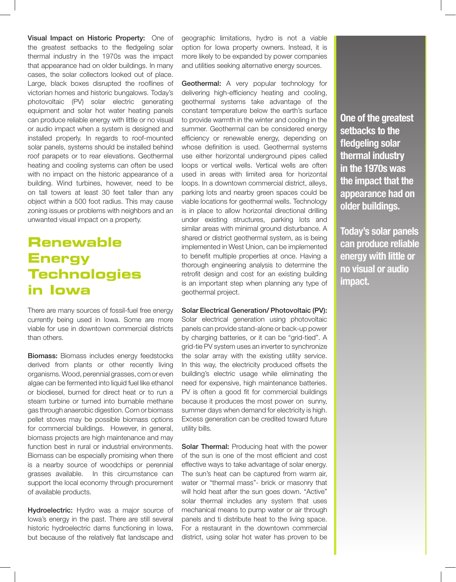Visual Impact on Historic Property: One of the greatest setbacks to the fledgeling solar thermal industry in the 1970s was the impact that appearance had on older buildings. In many cases, the solar collectors looked out of place. Large, black boxes disrupted the rooflines of victorian homes and historic bungalows. Today's photovoltaic (PV) solar electric generating equipment and solar hot water heating panels can produce reliable energy with little or no visual or audio impact when a system is designed and installed properly. In regards to roof-mounted solar panels, systems should be installed behind roof parapets or to rear elevations. Geothermal heating and cooling systems can often be used with no impact on the historic appearance of a building. Wind turbines, however, need to be on tall towers at least 30 feet taller than any object within a 500 foot radius. This may cause zoning issues or problems with neighbors and an unwanted visual impact on a property.

## **Renewable Energy Technologies in Iowa**

There are many sources of fossil-fuel free energy currently being used in Iowa. Some are more viable for use in downtown commercial districts than others.

Biomass: Biomass includes energy feedstocks derived from plants or other recently living organisms. Wood, perennial grasses, corn or even algae can be fermented into liquid fuel like ethanol or biodiesel, burned for direct heat or to run a steam turbine or turned into burnable methane gas through anaerobic digestion. Corn or biomass pellet stoves may be possible biomass options for commercial buildings. However, in general, biomass projects are high maintenance and may function best in rural or industrial environments. Biomass can be especially promising when there is a nearby source of woodchips or perennial grasses available. In this circumstance can support the local economy through procurement of available products.

Hydroelectric: Hydro was a major source of Iowa's energy in the past. There are still several historic hydroelectric dams functioning in Iowa, but because of the relatively flat landscape and

geographic limitations, hydro is not a viable option for Iowa property owners. Instead, it is more likely to be expanded by power companies and utilities seeking alternative energy sources.

Geothermal: A very popular technology for delivering high-efficiency heating and cooling, geothermal systems take advantage of the constant temperature below the earth's surface to provide warmth in the winter and cooling in the summer. Geothermal can be considered energy efficiency or renewable energy, depending on whose definition is used. Geothermal systems use either horizontal underground pipes called loops or vertical wells. Vertical wells are often used in areas with limited area for horizontal loops. In a downtown commercial district, alleys, parking lots and nearby green spaces could be viable locations for geothermal wells. Technology is in place to allow horizontal directional drilling under existing structures, parking lots and similar areas with minimal ground disturbance. A shared or district geothermal system, as is being implemented in West Union, can be implemented to benefit multiple properties at once. Having a thorough engineering analysis to determine the retrofit design and cost for an existing building is an important step when planning any type of geothermal project.

Solar Electrical Generation/ Photovoltaic (PV):

Solar electrical generation using photovoltaic panels can provide stand-alone or back-up power by charging batteries, or it can be "grid-tied". A grid-tie PV system uses an inverter to synchronize the solar array with the existing utility service. In this way, the electricity produced offsets the building's electric usage while eliminating the need for expensive, high maintenance batteries. PV is often a good fit for commercial buildings because it produces the most power on sunny, summer days when demand for electricity is high. Excess generation can be credited toward future utility bills.

Solar Thermal: Producing heat with the power of the sun is one of the most efficient and cost effective ways to take advantage of solar energy. The sun's heat can be captured from warm air, water or "thermal mass"- brick or masonry that will hold heat after the sun goes down. "Active" solar thermal includes any system that uses mechanical means to pump water or air through panels and ti distribute heat to the living space. For a restaurant in the downtown commercial district, using solar hot water has proven to be

**One of the greatest setbacks to the fledgeling solar thermal industry in the 1970s was the impact that the appearance had on older buildings.**

**Today's solar panels can produce reliable energy with little or no visual or audio impact.**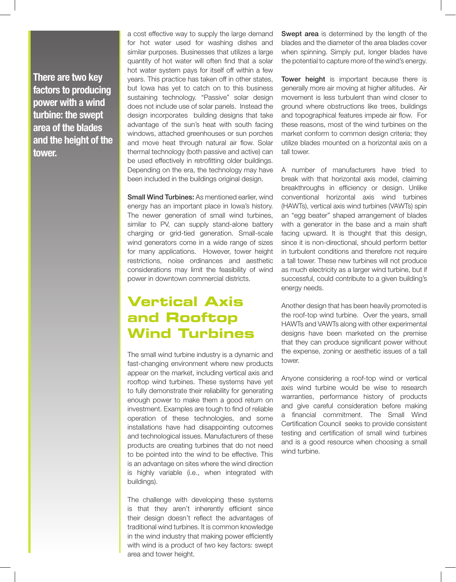**There are two key factors to producing power with a wind turbine: the swept area of the blades and the height of the tower.** 

a cost effective way to supply the large demand for hot water used for washing dishes and similar purposes. Businesses that utilizes a large quantity of hot water will often find that a solar hot water system pays for itself off within a few years. This practice has taken off in other states, but Iowa has yet to catch on to this business sustaining technology. "Passive" solar design does not include use of solar panels. Instead the design incorporates building designs that take advantage of the sun's heat with south facing windows, attached greenhouses or sun porches and move heat through natural air flow. Solar thermal technology (both passive and active) can be used effectively in retrofitting older buildings. Depending on the era, the technology may have been included in the buildings original design.

**Small Wind Turbines:** As mentioned earlier, wind energy has an important place in Iowa's history. The newer generation of small wind turbines, similar to PV, can supply stand-alone battery charging or grid-tied generation. Small-scale wind generators come in a wide range of sizes for many applications. However, tower height restrictions, noise ordinances and aesthetic considerations may limit the feasibility of wind power in downtown commercial districts.

## **Vertical Axis and Rooftop Wind Turbines**

The small wind turbine industry is a dynamic and fast-changing environment where new products appear on the market, including vertical axis and rooftop wind turbines. These systems have yet to fully demonstrate their reliability for generating enough power to make them a good return on investment. Examples are tough to find of reliable operation of these technologies, and some installations have had disappointing outcomes and technological issues. Manufacturers of these products are creating turbines that do not need to be pointed into the wind to be effective. This is an advantage on sites where the wind direction is highly variable (i.e., when integrated with buildings).

The challenge with developing these systems is that they aren't inherently efficient since their design doesn't reflect the advantages of traditional wind turbines. It is common knowledge in the wind industry that making power efficiently with wind is a product of two key factors: swept area and tower height.

Swept area is determined by the length of the blades and the diameter of the area blades cover when spinning. Simply put, longer blades have the potential to capture more of the wind's energy.

Tower height is important because there is generally more air moving at higher altitudes. Air movement is less turbulent than wind closer to ground where obstructions like trees, buildings and topographical features impede air flow. For these reasons, most of the wind turbines on the market conform to common design criteria; they utilize blades mounted on a horizontal axis on a tall tower.

A number of manufacturers have tried to break with that horizontal axis model, claiming breakthroughs in efficiency or design. Unlike conventional horizontal axis wind turbines (HAWTs), vertical axis wind turbines (VAWTs) spin an "egg beater" shaped arrangement of blades with a generator in the base and a main shaft facing upward. It is thought that this design, since it is non-directional, should perform better in turbulent conditions and therefore not require a tall tower. These new turbines will not produce as much electricity as a larger wind turbine, but if successful, could contribute to a given building's energy needs.

Another design that has been heavily promoted is the roof-top wind turbine. Over the years, small HAWTs and VAWTs along with other experimental designs have been marketed on the premise that they can produce significant power without the expense, zoning or aesthetic issues of a tall tower.

Anyone considering a roof-top wind or vertical axis wind turbine would be wise to research warranties, performance history of products and give careful consideration before making a financial commitment. The Small Wind Certification Council seeks to provide consistent testing and certification of small wind turbines and is a good resource when choosing a small wind turbine.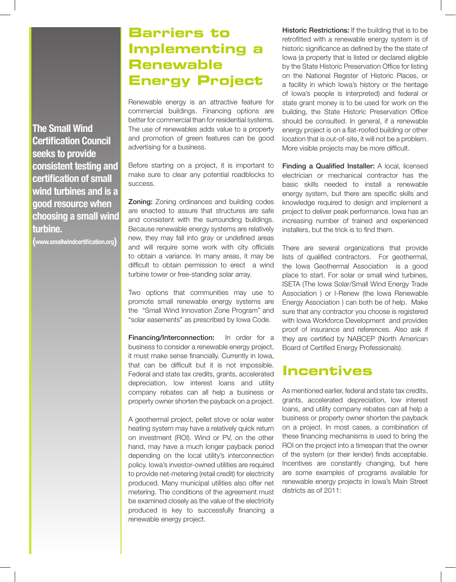### **The Small Wind Certification Council seeks to provide consistent testing and certification of small wind turbines and is a good resource when choosing a small wind turbine.**

**(www.smallwindcertification.org)**

## **Barriers to Implementing a Renewable Energy Project**

Renewable energy is an attractive feature for commercial buildings. Financing options are better for commercial than for residential systems. The use of renewables adds value to a property and promotion of green features can be good advertising for a business.

Before starting on a project, it is important to make sure to clear any potential roadblocks to success.

**Zoning:** Zoning ordinances and building codes are enacted to assure that structures are safe and consistent with the surrounding buildings. Because renewable energy systems are relatively new, they may fall into gray or undefined areas and will require some work with city officials to obtain a variance. In many areas, it may be difficult to obtain permission to erect a wind turbine tower or free-standing solar array.

Two options that communities may use to promote small renewable energy systems are the "Small Wind Innovation Zone Program" and "solar easements" as prescribed by Iowa Code.

Financing/Interconnection: In order for a business to consider a renewable energy project, it must make sense financially. Currently in Iowa, that can be difficult but it is not impossible. Federal and state tax credits, grants, accelerated depreciation, low interest loans and utility company rebates can all help a business or property owner shorten the payback on a project.

A geothermal project, pellet stove or solar water heating system may have a relatively quick return on investment (ROI). Wind or PV, on the other hand, may have a much longer payback period depending on the local utility's interconnection policy. Iowa's investor-owned utilities are required to provide net-metering (retail credit) for electricity produced. Many municipal utilities also offer net metering. The conditions of the agreement must be examined closely as the value of the electricity produced is key to successfully financing a renewable energy project.

Historic Restrictions: If the building that is to be retrofitted with a renewable energy system is of historic significance as defined by the the state of Iowa (a property that is listed or declared eligible by the State Historic Preservation Office for listing on the National Register of Historic Places, or a facility in which Iowa's history or the heritage of Iowa's people is interpreted) and federal or state grant money is to be used for work on the building, the State Historic Preservation Office should be consulted. In general, if a renewable energy project is on a flat-roofed building or other location that is out-of-site, it will not be a problem. More visible projects may be more difficult.

Finding a Qualified Installer: A local, licensed electrician or mechanical contractor has the basic skills needed to install a renewable energy system, but there are specific skills and knowledge required to design and implement a project to deliver peak performance. Iowa has an increasing number of trained and experienced installers, but the trick is to find them.

There are several organizations that provide lists of qualified contractors. For geothermal, the Iowa Geothermal Association is a good place to start. For solar or small wind turbines, ISETA (The Iowa Solar/Small Wind Energy Trade Association ) or I-Renew (the Iowa Renewable Energy Association ) can both be of help. Make sure that any contractor you choose is registered with Iowa Workforce Development and provides proof of insurance and references. Also ask if they are certified by NABCEP (North American Board of Certified Energy Professionals).

### **Incentives**

As mentioned earlier, federal and state tax credits, grants, accelerated depreciation, low interest loans, and utility company rebates can all help a business or property owner shorten the payback on a project. In most cases, a combination of these financing mechanisms is used to bring the ROI on the project into a timespan that the owner of the system (or their lender) finds acceptable. Incentives are constantly changing, but here are some examples of programs available for renewable energy projects in Iowa's Main Street districts as of 2011: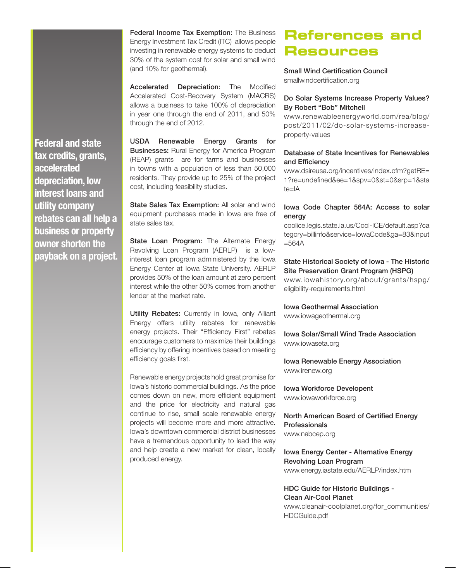Federal Income Tax Exemption: The Business Energy Investment Tax Credit (ITC) allows people investing in renewable energy systems to deduct 30% of the system cost for solar and small wind (and 10% for geothermal).

Accelerated Depreciation: The Modified Accelerated Cost-Recovery System (MACRS) allows a business to take 100% of depreciation in year one through the end of 2011, and 50% through the end of 2012.

USDA Renewable Energy Grants for Businesses: Rural Energy for America Program (REAP) grants are for farms and businesses in towns with a population of less than 50,000 residents. They provide up to 25% of the project cost, including feasibility studies.

State Sales Tax Exemption: All solar and wind equipment purchases made in Iowa are free of state sales tax.

State Loan Program: The Alternate Energy Revolving Loan Program (AERLP) is a lowinterest loan program administered by the Iowa Energy Center at Iowa State University. AERLP provides 50% of the loan amount at zero percent interest while the other 50% comes from another lender at the market rate.

Utility Rebates: Currently in Iowa, only Alliant Energy offers utility rebates for renewable energy projects. Their "Efficiency First" rebates encourage customers to maximize their buildings efficiency by offering incentives based on meeting efficiency goals first.

Renewable energy projects hold great promise for Iowa's historic commercial buildings. As the price comes down on new, more efficient equipment and the price for electricity and natural gas continue to rise, small scale renewable energy projects will become more and more attractive. Iowa's downtown commercial district businesses have a tremendous opportunity to lead the way and help create a new market for clean, locally produced energy.

## **References and Resources**

Small Wind Certification Council smallwindcertification.org

#### Do Solar Systems Increase Property Values? By Robert "Bob" Mitchell

www.renewableenergyworld.com/rea/blog/ post/2011/02/do-solar-systems-increaseproperty-values

### Database of State Incentives for Renewables and Efficiency

www.dsireusa.org/incentives/index.cfm?getRE= 1?re=undefined&ee=1&spv=0&st=0&srp=1&sta te=IA

#### Iowa Code Chapter 564A: Access to solar energy

coolice.legis.state.ia.us/Cool-ICE/default.asp?ca tegory=billinfo&service=IowaCode&ga=83&input  $=564A$ 

### State Historical Society of Iowa - The Historic Site Preservation Grant Program (HSPG)

www.iowahistory.org/about/grants/hspg/ eligibility-requirements.html

Iowa Geothermal Association

www.iowageothermal.org

Iowa Solar/Small Wind Trade Association www.iowaseta.org

Iowa Renewable Energy Association www.irenew.org

Iowa Workforce Developent www.iowaworkforce.org

North American Board of Certified Energy Professionals www.nabcep.org

Iowa Energy Center - Alternative Energy

Revolving Loan Program www.energy.iastate.edu/AERLP/index.htm

HDC Guide for Historic Buildings - Clean Air-Cool Planet www.cleanair-coolplanet.org/for\_communities/ HDCGuide.pdf

**Federal and state tax credits, grants, accelerated depreciation, low interest loans and utility company rebates can all help a business or property owner shorten the payback on a project.**